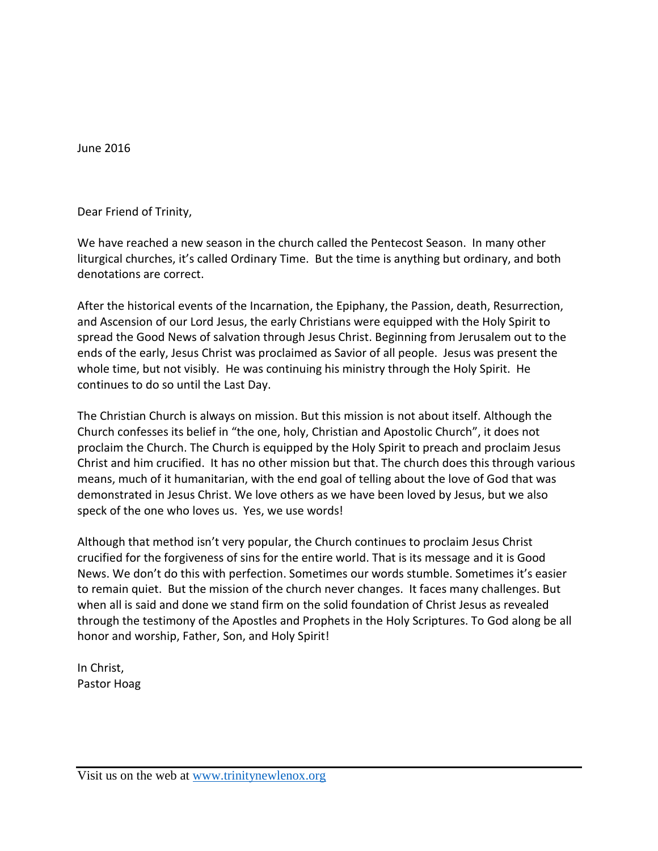June 2016

Dear Friend of Trinity,

We have reached a new season in the church called the Pentecost Season. In many other liturgical churches, it's called Ordinary Time. But the time is anything but ordinary, and both denotations are correct.

After the historical events of the Incarnation, the Epiphany, the Passion, death, Resurrection, and Ascension of our Lord Jesus, the early Christians were equipped with the Holy Spirit to spread the Good News of salvation through Jesus Christ. Beginning from Jerusalem out to the ends of the early, Jesus Christ was proclaimed as Savior of all people. Jesus was present the whole time, but not visibly. He was continuing his ministry through the Holy Spirit. He continues to do so until the Last Day.

The Christian Church is always on mission. But this mission is not about itself. Although the Church confesses its belief in "the one, holy, Christian and Apostolic Church", it does not proclaim the Church. The Church is equipped by the Holy Spirit to preach and proclaim Jesus Christ and him crucified. It has no other mission but that. The church does this through various means, much of it humanitarian, with the end goal of telling about the love of God that was demonstrated in Jesus Christ. We love others as we have been loved by Jesus, but we also speck of the one who loves us. Yes, we use words!

Although that method isn't very popular, the Church continues to proclaim Jesus Christ crucified for the forgiveness of sins for the entire world. That is its message and it is Good News. We don't do this with perfection. Sometimes our words stumble. Sometimes it's easier to remain quiet. But the mission of the church never changes. It faces many challenges. But when all is said and done we stand firm on the solid foundation of Christ Jesus as revealed through the testimony of the Apostles and Prophets in the Holy Scriptures. To God along be all honor and worship, Father, Son, and Holy Spirit!

In Christ, Pastor Hoag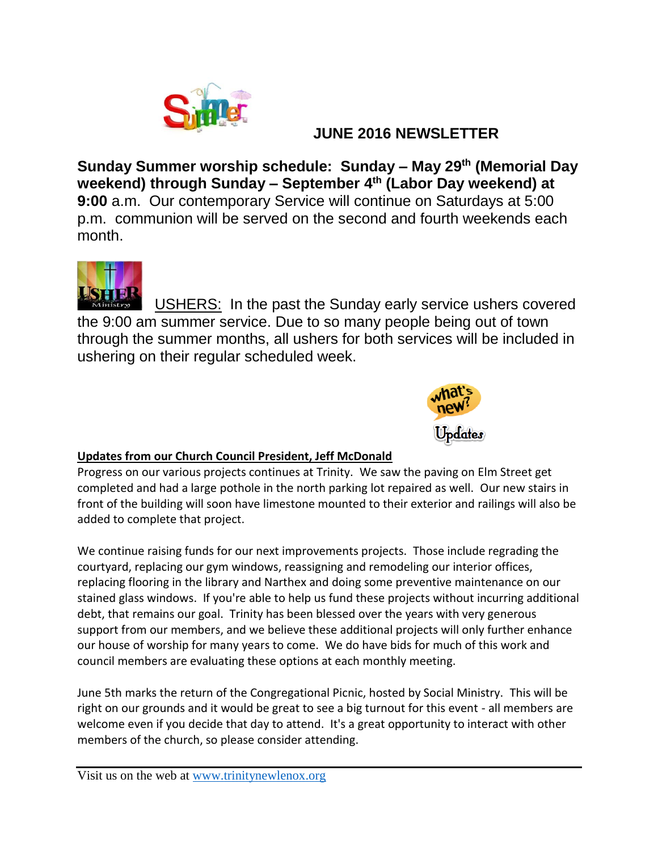

### **JUNE 2016 NEWSLETTER**

**Sunday Summer worship schedule: Sunday – May 29th (Memorial Day weekend) through Sunday – September 4th (Labor Day weekend) at 9:00** a.m. Our contemporary Service will continue on Saturdays at 5:00 p.m. communion will be served on the second and fourth weekends each month.



USHERS: In the past the Sunday early service ushers covered the 9:00 am summer service. Due to so many people being out of town through the summer months, all ushers for both services will be included in ushering on their regular scheduled week.



### **Updates from our Church Council President, Jeff McDonald**

Progress on our various projects continues at Trinity. We saw the paving on Elm Street get completed and had a large pothole in the north parking lot repaired as well. Our new stairs in front of the building will soon have limestone mounted to their exterior and railings will also be added to complete that project.

We continue raising funds for our next improvements projects. Those include regrading the courtyard, replacing our gym windows, reassigning and remodeling our interior offices, replacing flooring in the library and Narthex and doing some preventive maintenance on our stained glass windows. If you're able to help us fund these projects without incurring additional debt, that remains our goal. Trinity has been blessed over the years with very generous support from our members, and we believe these additional projects will only further enhance our house of worship for many years to come. We do have bids for much of this work and council members are evaluating these options at each monthly meeting.

June 5th marks the return of the Congregational Picnic, hosted by Social Ministry. This will be right on our grounds and it would be great to see a big turnout for this event - all members are welcome even if you decide that day to attend. It's a great opportunity to interact with other members of the church, so please consider attending.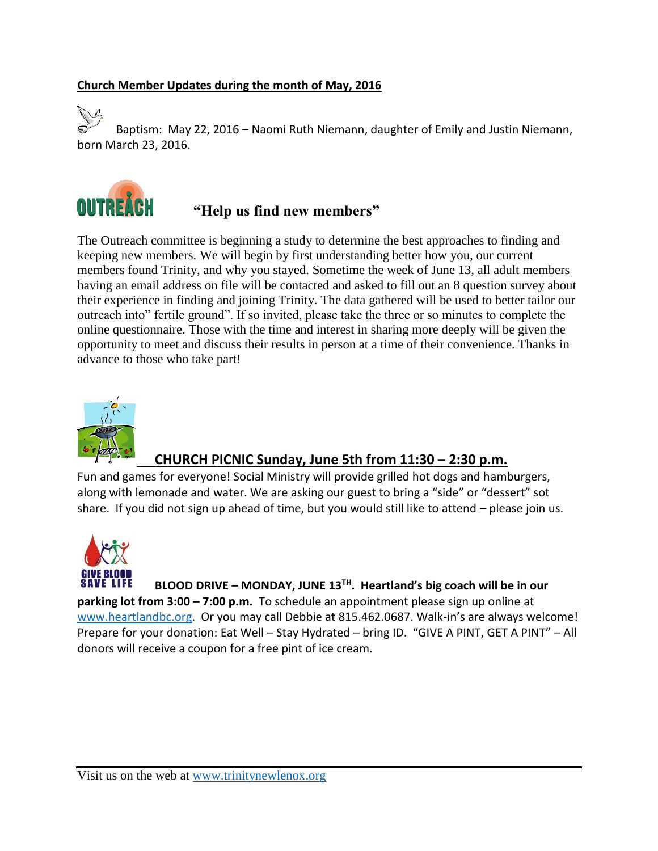#### **Church Member Updates during the month of May, 2016**

Baptism: May 22, 2016 – Naomi Ruth Niemann, daughter of Emily and Justin Niemann, born March 23, 2016.



# **"Help us find new members"**

The Outreach committee is beginning a study to determine the best approaches to finding and keeping new members. We will begin by first understanding better how you, our current members found Trinity, and why you stayed. Sometime the week of June 13, all adult members having an email address on file will be contacted and asked to fill out an 8 question survey about their experience in finding and joining Trinity. The data gathered will be used to better tailor our outreach into" fertile ground". If so invited, please take the three or so minutes to complete the online questionnaire. Those with the time and interest in sharing more deeply will be given the opportunity to meet and discuss their results in person at a time of their convenience. Thanks in advance to those who take part!



### **CHURCH PICNIC Sunday, June 5th from 11:30 – 2:30 p.m.**

Fun and games for everyone! Social Ministry will provide grilled hot dogs and hamburgers, along with lemonade and water. We are asking our guest to bring a "side" or "dessert" sot share. If you did not sign up ahead of time, but you would still like to attend – please join us.



**BLOOD DRIVE – MONDAY, JUNE 13TH. Heartland's big coach will be in our parking lot from 3:00 – 7:00 p.m.** To schedule an appointment please sign up online at [www.heartlandbc.org.](http://www.heartlandbc.org/) Or you may call Debbie at 815.462.0687. Walk-in's are always welcome! Prepare for your donation: Eat Well – Stay Hydrated – bring ID. "GIVE A PINT, GET A PINT" – All donors will receive a coupon for a free pint of ice cream.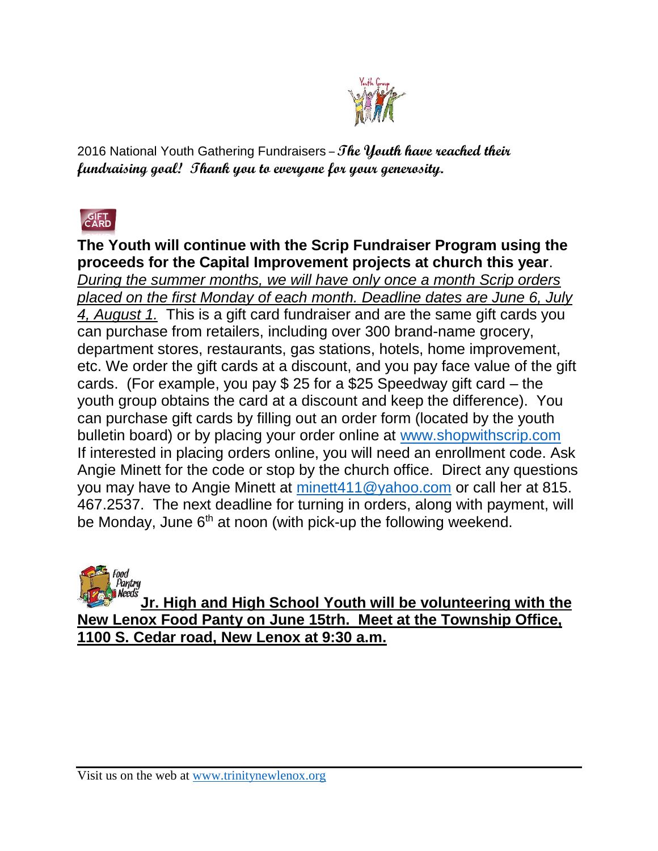

2016 National Youth Gathering Fundraisers –**The Youth have reached their fundraising goal! Thank you to everyone for your generosity.** 



**The Youth will continue with the Scrip Fundraiser Program using the proceeds for the Capital Improvement projects at church this year**. *During the summer months, we will have only once a month Scrip orders placed on the first Monday of each month. Deadline dates are June 6, July 4, August 1.* This is a gift card fundraiser and are the same gift cards you can purchase from retailers, including over 300 brand-name grocery, department stores, restaurants, gas stations, hotels, home improvement, etc. We order the gift cards at a discount, and you pay face value of the gift cards. (For example, you pay \$ 25 for a \$25 Speedway gift card – the youth group obtains the card at a discount and keep the difference). You can purchase gift cards by filling out an order form (located by the youth bulletin board) or by placing your order online at [www.shopwithscrip.com](http://www.shopwithscrip.com/) If interested in placing orders online, you will need an enrollment code. Ask Angie Minett for the code or stop by the church office. Direct any questions you may have to Angie Minett at [minett411@yahoo.com](mailto:minett411@yahoo.com) or call her at 815. 467.2537. The next deadline for turning in orders, along with payment, will be Monday, June  $6<sup>th</sup>$  at noon (with pick-up the following weekend.



**Jr. High and High School Youth will be volunteering with the New Lenox Food Panty on June 15trh. Meet at the Township Office, 1100 S. Cedar road, New Lenox at 9:30 a.m.**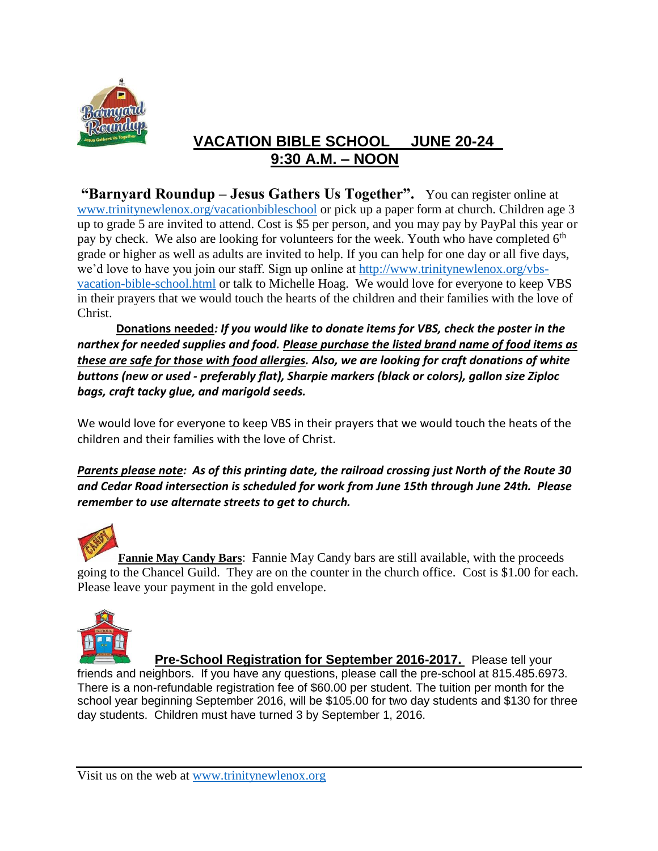

## **VACATION BIBLE SCHOOL JUNE 20-24 9:30 A.M. – NOON**

**"Barnyard Roundup – Jesus Gathers Us Together".** You can register online at [www.trinitynewlenox.org/vacationbibleschool](http://www.trinitynewlenox.org/vacationbibleschool) or pick up a paper form at church. Children age 3 up to grade 5 are invited to attend. Cost is \$5 per person, and you may pay by PayPal this year or pay by check. We also are looking for volunteers for the week. Youth who have completed  $6<sup>th</sup>$ grade or higher as well as adults are invited to help. If you can help for one day or all five days, we'd love to have you join our staff. Sign up online at [http://www.trinitynewlenox.org/vbs](http://www.trinitynewlenox.org/vbs-vacation-bible-school.html)[vacation-bible-school.html](http://www.trinitynewlenox.org/vbs-vacation-bible-school.html) or talk to Michelle Hoag. We would love for everyone to keep VBS in their prayers that we would touch the hearts of the children and their families with the love of Christ.

 **Donations needed***: If you would like to donate items for VBS, check the poster in the narthex for needed supplies and food. Please purchase the listed brand name of food items as these are safe for those with food allergies. Also, we are looking for craft donations of white buttons (new or used - preferably flat), Sharpie markers (black or colors), gallon size Ziploc bags, craft tacky glue, and marigold seeds.* 

We would love for everyone to keep VBS in their prayers that we would touch the heats of the children and their families with the love of Christ.

*Parents please note: As of this printing date, the railroad crossing just North of the Route 30 and Cedar Road intersection is scheduled for work from June 15th through June 24th. Please remember to use alternate streets to get to church.*

**Fannie May Candy Bars**: Fannie May Candy bars are still available, with the proceeds going to the Chancel Guild. They are on the counter in the church office. Cost is \$1.00 for each. Please leave your payment in the gold envelope.



**Pre-School Registration for September 2016-2017.** Please tell your friends and neighbors. If you have any questions, please call the pre-school at 815.485.6973. There is a non-refundable registration fee of \$60.00 per student. The tuition per month for the school year beginning September 2016, will be \$105.00 for two day students and \$130 for three day students. Children must have turned 3 by September 1, 2016.

Visit us on the web at [www.trinitynewlenox.org](http://www.trinitynewlenox.org/)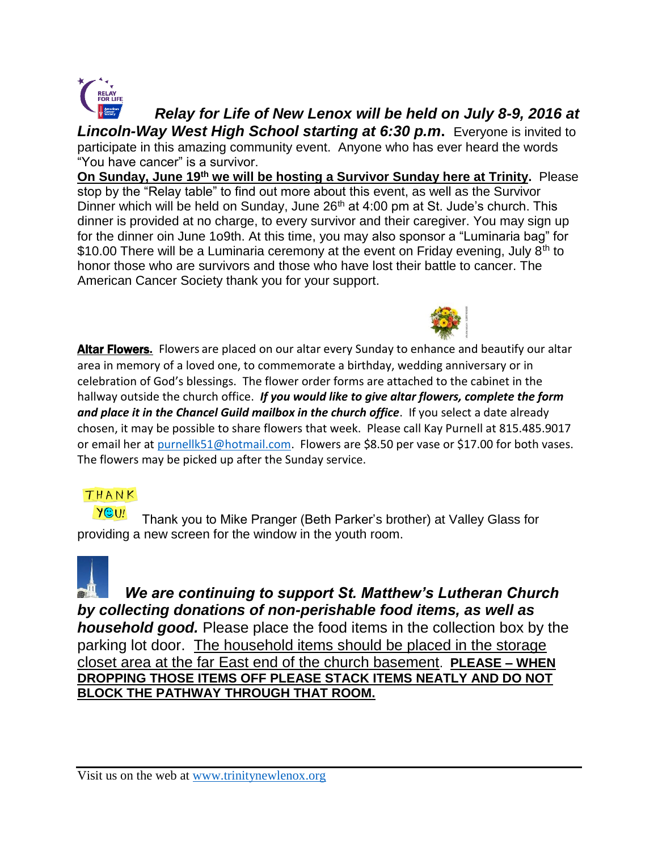

*Relay for Life of New Lenox will be held on July 8-9, 2016 at Lincoln-Way West High School starting at 6:30 p.m***.** Everyone is invited to participate in this amazing community event. Anyone who has ever heard the words "You have cancer" is a survivor.

**On Sunday, June 19th we will be hosting a Survivor Sunday here at Trinity.** Please stop by the "Relay table" to find out more about this event, as well as the Survivor Dinner which will be held on Sunday, June  $26<sup>th</sup>$  at 4:00 pm at St. Jude's church. This dinner is provided at no charge, to every survivor and their caregiver. You may sign up for the dinner oin June 1o9th. At this time, you may also sponsor a "Luminaria bag" for \$10.00 There will be a Luminaria ceremony at the event on Friday evening, July  $8<sup>th</sup>$  to honor those who are survivors and those who have lost their battle to cancer. The American Cancer Society thank you for your support.



Altar Flowers. Flowers are placed on our altar every Sunday to enhance and beautify our altar area in memory of a loved one, to commemorate a birthday, wedding anniversary or in celebration of God's blessings. The flower order forms are attached to the cabinet in the hallway outside the church office. *If you would like to give altar flowers, complete the form*  and place it in the Chancel Guild mailbox in the church office. If you select a date already chosen, it may be possible to share flowers that week. Please call Kay Purnell at 815.485.9017 or email her at [purnellk51@hotmail.com.](mailto:purnellk51@hotmail.com) Flowers are \$8.50 per vase or \$17.00 for both vases. The flowers may be picked up after the Sunday service.

### THANK

YOU! Thank you to Mike Pranger (Beth Parker's brother) at Valley Glass for providing a new screen for the window in the youth room.



 *We are continuing to support St. Matthew's Lutheran Church by collecting donations of non-perishable food items, as well as household good.* Please place the food items in the collection box by the parking lot door. The household items should be placed in the storage closet area at the far East end of the church basement. **PLEASE – WHEN DROPPING THOSE ITEMS OFF PLEASE STACK ITEMS NEATLY AND DO NOT BLOCK THE PATHWAY THROUGH THAT ROOM.**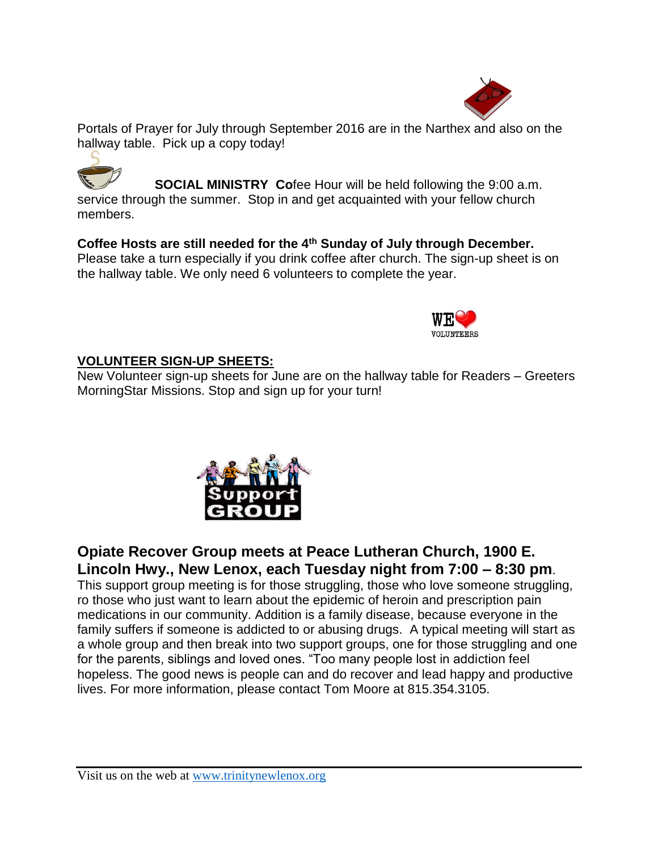

Portals of Prayer for July through September 2016 are in the Narthex and also on the hallway table. Pick up a copy today!

**SOCIAL MINISTRY Co**fee Hour will be held following the 9:00 a.m. service through the summer. Stop in and get acquainted with your fellow church members.

**Coffee Hosts are still needed for the 4th Sunday of July through December.** Please take a turn especially if you drink coffee after church. The sign-up sheet is on the hallway table. We only need 6 volunteers to complete the year.



### **VOLUNTEER SIGN-UP SHEETS:**

New Volunteer sign-up sheets for June are on the hallway table for Readers – Greeters MorningStar Missions. Stop and sign up for your turn!



# **Opiate Recover Group meets at Peace Lutheran Church, 1900 E. Lincoln Hwy., New Lenox, each Tuesday night from 7:00 – 8:30 pm**.

This support group meeting is for those struggling, those who love someone struggling, ro those who just want to learn about the epidemic of heroin and prescription pain medications in our community. Addition is a family disease, because everyone in the family suffers if someone is addicted to or abusing drugs. A typical meeting will start as a whole group and then break into two support groups, one for those struggling and one for the parents, siblings and loved ones. "Too many people lost in addiction feel hopeless. The good news is people can and do recover and lead happy and productive lives. For more information, please contact Tom Moore at 815.354.3105.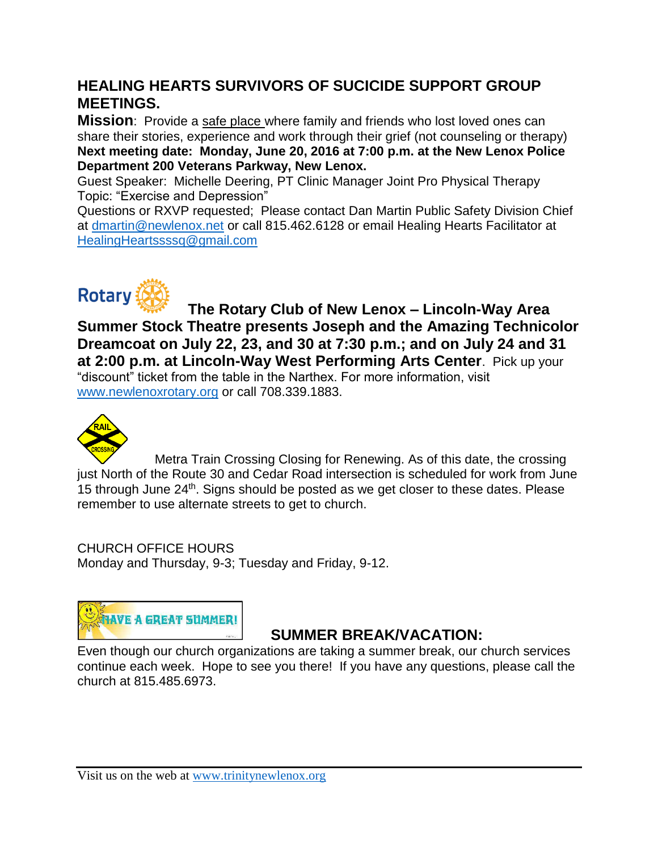# **HEALING HEARTS SURVIVORS OF SUCICIDE SUPPORT GROUP MEETINGS.**

**Mission**: Provide a safe place where family and friends who lost loved ones can share their stories, experience and work through their grief (not counseling or therapy) **Next meeting date: Monday, June 20, 2016 at 7:00 p.m. at the New Lenox Police Department 200 Veterans Parkway, New Lenox.**

Guest Speaker: Michelle Deering, PT Clinic Manager Joint Pro Physical Therapy Topic: "Exercise and Depression"

Questions or RXVP requested; Please contact Dan Martin Public Safety Division Chief at [dmartin@newlenox.net](mailto:dmartin@newlenox.net) or call 815.462.6128 or email Healing Hearts Facilitator at [HealingHeartssssq@gmail.com](mailto:HealingHeartssssq@gmail.com)



 **The Rotary Club of New Lenox – Lincoln-Way Area Summer Stock Theatre presents Joseph and the Amazing Technicolor Dreamcoat on July 22, 23, and 30 at 7:30 p.m.; and on July 24 and 31 at 2:00 p.m. at Lincoln-Way West Performing Arts Center**. Pick up your "discount" ticket from the table in the Narthex. For more information, visit [www.newlenoxrotary.org](http://www.newlenoxrotary.org/) or call 708.339.1883.



Metra Train Crossing Closing for Renewing. As of this date, the crossing just North of the Route 30 and Cedar Road intersection is scheduled for work from June 15 through June 24<sup>th</sup>. Signs should be posted as we get closer to these dates. Please remember to use alternate streets to get to church.

CHURCH OFFICE HOURS Monday and Thursday, 9-3; Tuesday and Friday, 9-12.



### **SUMMER BREAK/VACATION:**

Even though our church organizations are taking a summer break, our church services continue each week. Hope to see you there! If you have any questions, please call the church at 815.485.6973.